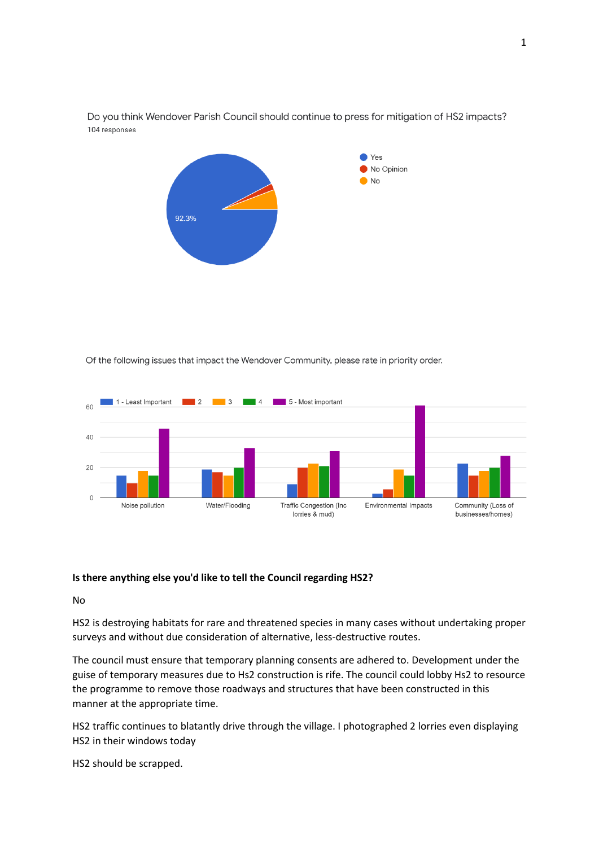

Do you think Wendover Parish Council should continue to press for mitigation of HS2 impacts? 104 responses

Of the following issues that impact the Wendover Community, please rate in priority order.



## **Is there anything else you'd like to tell the Council regarding HS2?**

No

HS2 is destroying habitats for rare and threatened species in many cases without undertaking proper surveys and without due consideration of alternative, less-destructive routes.

The council must ensure that temporary planning consents are adhered to. Development under the guise of temporary measures due to Hs2 construction is rife. The council could lobby Hs2 to resource the programme to remove those roadways and structures that have been constructed in this manner at the appropriate time.

HS2 traffic continues to blatantly drive through the village. I photographed 2 lorries even displaying HS2 in their windows today

HS2 should be scrapped.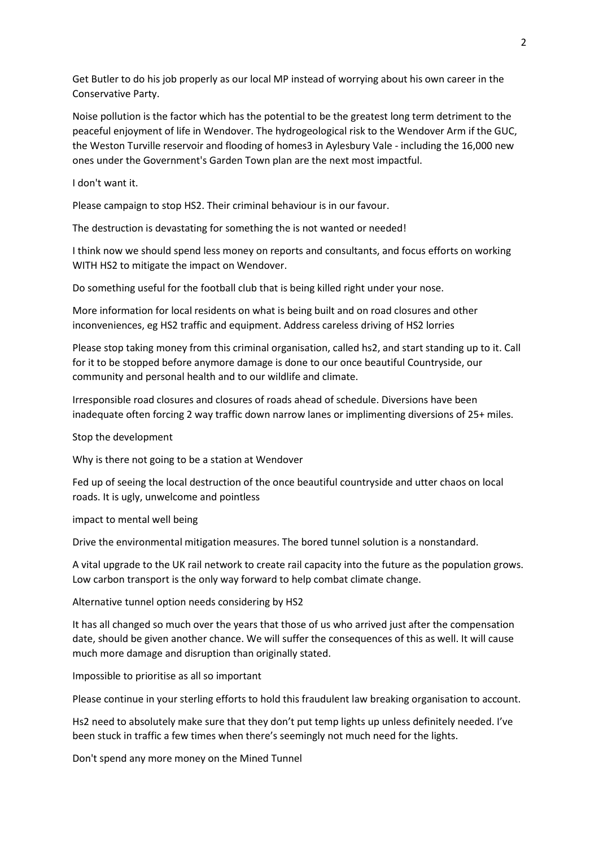Get Butler to do his job properly as our local MP instead of worrying about his own career in the Conservative Party.

Noise pollution is the factor which has the potential to be the greatest long term detriment to the peaceful enjoyment of life in Wendover. The hydrogeological risk to the Wendover Arm if the GUC, the Weston Turville reservoir and flooding of homes3 in Aylesbury Vale - including the 16,000 new ones under the Government's Garden Town plan are the next most impactful.

I don't want it.

Please campaign to stop HS2. Their criminal behaviour is in our favour.

The destruction is devastating for something the is not wanted or needed!

I think now we should spend less money on reports and consultants, and focus efforts on working WITH HS2 to mitigate the impact on Wendover.

Do something useful for the football club that is being killed right under your nose.

More information for local residents on what is being built and on road closures and other inconveniences, eg HS2 traffic and equipment. Address careless driving of HS2 lorries

Please stop taking money from this criminal organisation, called hs2, and start standing up to it. Call for it to be stopped before anymore damage is done to our once beautiful Countryside, our community and personal health and to our wildlife and climate.

Irresponsible road closures and closures of roads ahead of schedule. Diversions have been inadequate often forcing 2 way traffic down narrow lanes or implimenting diversions of 25+ miles.

Stop the development

Why is there not going to be a station at Wendover

Fed up of seeing the local destruction of the once beautiful countryside and utter chaos on local roads. It is ugly, unwelcome and pointless

impact to mental well being

Drive the environmental mitigation measures. The bored tunnel solution is a nonstandard.

A vital upgrade to the UK rail network to create rail capacity into the future as the population grows. Low carbon transport is the only way forward to help combat climate change.

Alternative tunnel option needs considering by HS2

It has all changed so much over the years that those of us who arrived just after the compensation date, should be given another chance. We will suffer the consequences of this as well. It will cause much more damage and disruption than originally stated.

Impossible to prioritise as all so important

Please continue in your sterling efforts to hold this fraudulent law breaking organisation to account.

Hs2 need to absolutely make sure that they don't put temp lights up unless definitely needed. I've been stuck in traffic a few times when there's seemingly not much need for the lights.

Don't spend any more money on the Mined Tunnel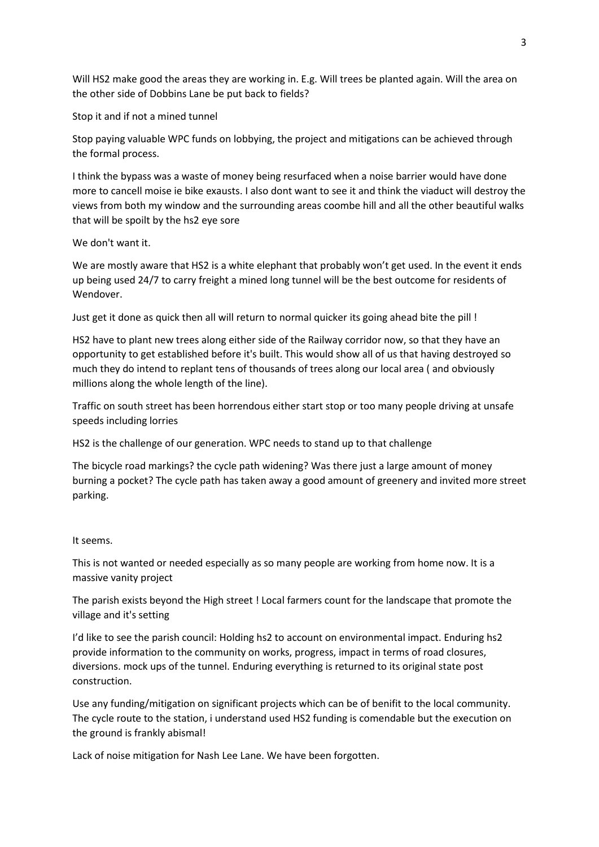Will HS2 make good the areas they are working in. E.g. Will trees be planted again. Will the area on the other side of Dobbins Lane be put back to fields?

Stop it and if not a mined tunnel

Stop paying valuable WPC funds on lobbying, the project and mitigations can be achieved through the formal process.

I think the bypass was a waste of money being resurfaced when a noise barrier would have done more to cancell moise ie bike exausts. I also dont want to see it and think the viaduct will destroy the views from both my window and the surrounding areas coombe hill and all the other beautiful walks that will be spoilt by the hs2 eye sore

We don't want it.

We are mostly aware that HS2 is a white elephant that probably won't get used. In the event it ends up being used 24/7 to carry freight a mined long tunnel will be the best outcome for residents of Wendover.

Just get it done as quick then all will return to normal quicker its going ahead bite the pill !

HS2 have to plant new trees along either side of the Railway corridor now, so that they have an opportunity to get established before it's built. This would show all of us that having destroyed so much they do intend to replant tens of thousands of trees along our local area ( and obviously millions along the whole length of the line).

Traffic on south street has been horrendous either start stop or too many people driving at unsafe speeds including lorries

HS2 is the challenge of our generation. WPC needs to stand up to that challenge

The bicycle road markings? the cycle path widening? Was there just a large amount of money burning a pocket? The cycle path has taken away a good amount of greenery and invited more street parking.

## It seems.

This is not wanted or needed especially as so many people are working from home now. It is a massive vanity project

The parish exists beyond the High street ! Local farmers count for the landscape that promote the village and it's setting

I'd like to see the parish council: Holding hs2 to account on environmental impact. Enduring hs2 provide information to the community on works, progress, impact in terms of road closures, diversions. mock ups of the tunnel. Enduring everything is returned to its original state post construction.

Use any funding/mitigation on significant projects which can be of benifit to the local community. The cycle route to the station, i understand used HS2 funding is comendable but the execution on the ground is frankly abismal!

Lack of noise mitigation for Nash Lee Lane. We have been forgotten.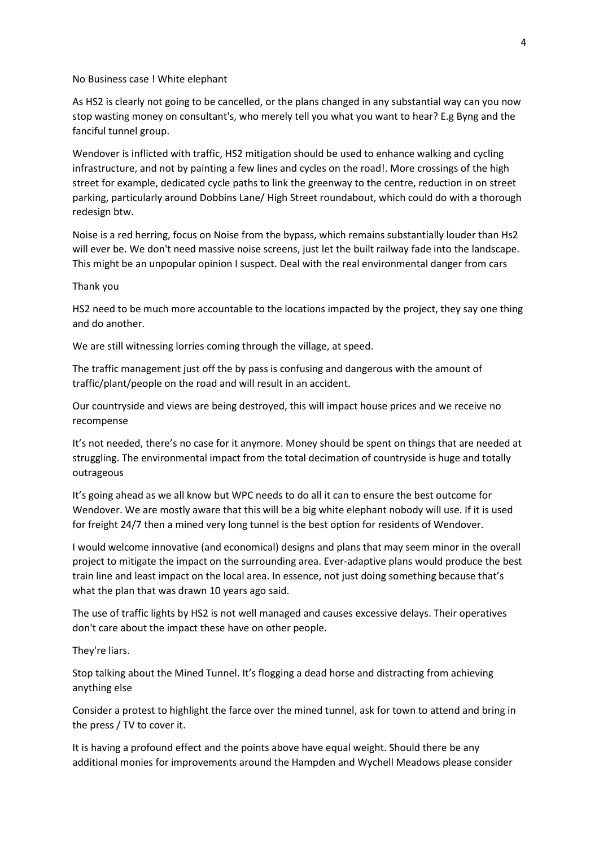No Business case ! White elephant

As HS2 is clearly not going to be cancelled, or the plans changed in any substantial way can you now stop wasting money on consultant's, who merely tell you what you want to hear? E.g Byng and the fanciful tunnel group.

Wendover is inflicted with traffic, HS2 mitigation should be used to enhance walking and cycling infrastructure, and not by painting a few lines and cycles on the road!. More crossings of the high street for example, dedicated cycle paths to link the greenway to the centre, reduction in on street parking, particularly around Dobbins Lane/ High Street roundabout, which could do with a thorough redesign btw.

Noise is a red herring, focus on Noise from the bypass, which remains substantially louder than Hs2 will ever be. We don't need massive noise screens, just let the built railway fade into the landscape. This might be an unpopular opinion I suspect. Deal with the real environmental danger from cars

## Thank you

HS2 need to be much more accountable to the locations impacted by the project, they say one thing and do another.

We are still witnessing lorries coming through the village, at speed.

The traffic management just off the by pass is confusing and dangerous with the amount of traffic/plant/people on the road and will result in an accident.

Our countryside and views are being destroyed, this will impact house prices and we receive no recompense

It's not needed, there's no case for it anymore. Money should be spent on things that are needed at struggling. The environmental impact from the total decimation of countryside is huge and totally outrageous

It's going ahead as we all know but WPC needs to do all it can to ensure the best outcome for Wendover. We are mostly aware that this will be a big white elephant nobody will use. If it is used for freight 24/7 then a mined very long tunnel is the best option for residents of Wendover.

I would welcome innovative (and economical) designs and plans that may seem minor in the overall project to mitigate the impact on the surrounding area. Ever-adaptive plans would produce the best train line and least impact on the local area. In essence, not just doing something because that's what the plan that was drawn 10 years ago said.

The use of traffic lights by HS2 is not well managed and causes excessive delays. Their operatives don't care about the impact these have on other people.

They're liars.

Stop talking about the Mined Tunnel. It's flogging a dead horse and distracting from achieving anything else

Consider a protest to highlight the farce over the mined tunnel, ask for town to attend and bring in the press / TV to cover it.

It is having a profound effect and the points above have equal weight. Should there be any additional monies for improvements around the Hampden and Wychell Meadows please consider